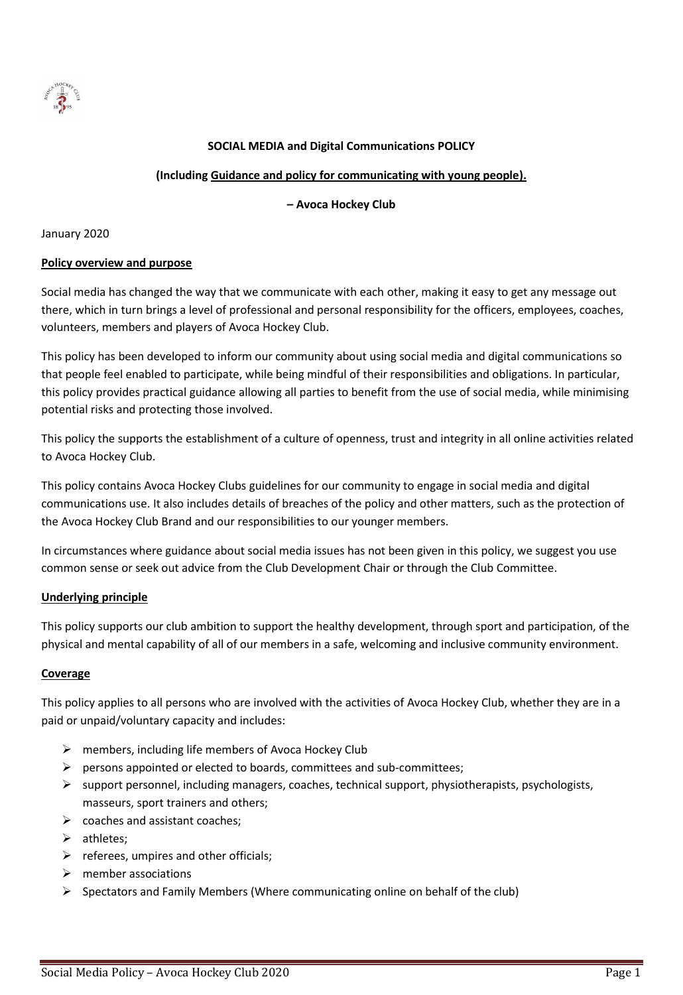

### **SOCIAL MEDIA and Digital Communications POLICY**

#### **(Including Guidance and policy for communicating with young people).**

#### **– Avoca Hockey Club**

January 2020

#### **Policy overview and purpose**

Social media has changed the way that we communicate with each other, making it easy to get any message out there, which in turn brings a level of professional and personal responsibility for the officers, employees, coaches, volunteers, members and players of Avoca Hockey Club.

This policy has been developed to inform our community about using social media and digital communications so that people feel enabled to participate, while being mindful of their responsibilities and obligations. In particular, this policy provides practical guidance allowing all parties to benefit from the use of social media, while minimising potential risks and protecting those involved.

This policy the supports the establishment of a culture of openness, trust and integrity in all online activities related to Avoca Hockey Club.

This policy contains Avoca Hockey Clubs guidelines for our community to engage in social media and digital communications use. It also includes details of breaches of the policy and other matters, such as the protection of the Avoca Hockey Club Brand and our responsibilities to our younger members.

In circumstances where guidance about social media issues has not been given in this policy, we suggest you use common sense or seek out advice from the Club Development Chair or through the Club Committee.

#### **Underlying principle**

This policy supports our club ambition to support the healthy development, through sport and participation, of the physical and mental capability of all of our members in a safe, welcoming and inclusive community environment.

#### **Coverage**

This policy applies to all persons who are involved with the activities of Avoca Hockey Club, whether they are in a paid or unpaid/voluntary capacity and includes:

- $\triangleright$  members, including life members of Avoca Hockey Club
- ➢ persons appointed or elected to boards, committees and sub-committees;
- $\triangleright$  support personnel, including managers, coaches, technical support, physiotherapists, psychologists, masseurs, sport trainers and others;
- $\triangleright$  coaches and assistant coaches;
- ➢ athletes;
- $\triangleright$  referees, umpires and other officials;
- $\triangleright$  member associations
- $\triangleright$  Spectators and Family Members (Where communicating online on behalf of the club)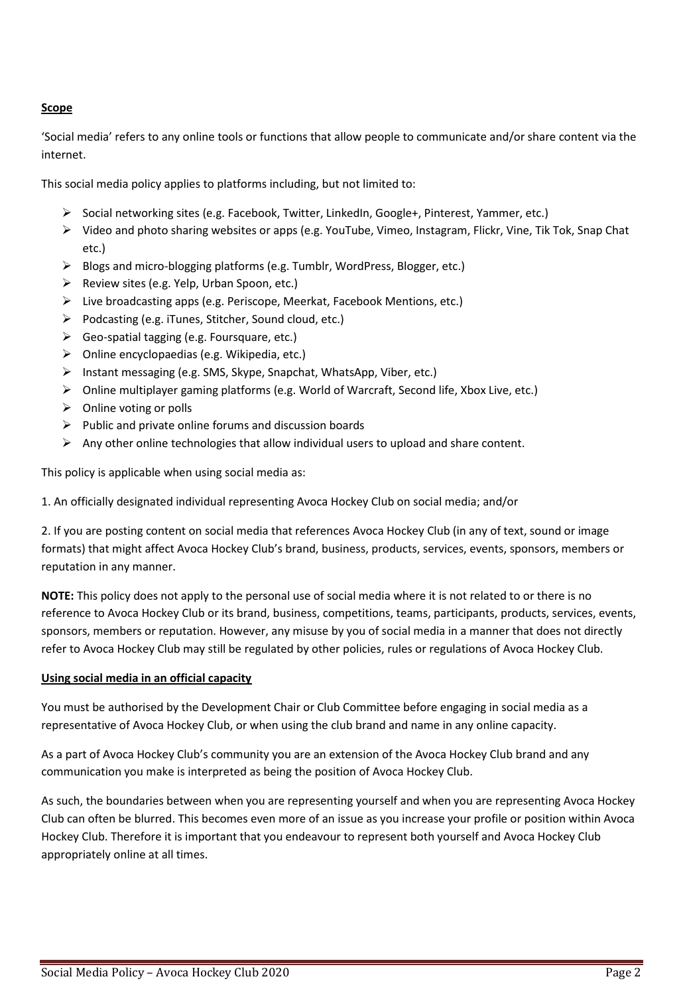# **Scope**

'Social media' refers to any online tools or functions that allow people to communicate and/or share content via the internet.

This social media policy applies to platforms including, but not limited to:

- ➢ Social networking sites (e.g. Facebook, Twitter, LinkedIn, Google+, Pinterest, Yammer, etc.)
- ➢ Video and photo sharing websites or apps (e.g. YouTube, Vimeo, Instagram, Flickr, Vine, Tik Tok, Snap Chat etc.)
- ➢ Blogs and micro-blogging platforms (e.g. Tumblr, WordPress, Blogger, etc.)
- ➢ Review sites (e.g. Yelp, Urban Spoon, etc.)
- ➢ Live broadcasting apps (e.g. Periscope, Meerkat, Facebook Mentions, etc.)
- ➢ Podcasting (e.g. iTunes, Stitcher, Sound cloud, etc.)
- ➢ Geo-spatial tagging (e.g. Foursquare, etc.)
- ➢ Online encyclopaedias (e.g. Wikipedia, etc.)
- ➢ Instant messaging (e.g. SMS, Skype, Snapchat, WhatsApp, Viber, etc.)
- ➢ Online multiplayer gaming platforms (e.g. World of Warcraft, Second life, Xbox Live, etc.)
- $\triangleright$  Online voting or polls
- $\triangleright$  Public and private online forums and discussion boards
- $\triangleright$  Any other online technologies that allow individual users to upload and share content.

This policy is applicable when using social media as:

1. An officially designated individual representing Avoca Hockey Club on social media; and/or

2. If you are posting content on social media that references Avoca Hockey Club (in any of text, sound or image formats) that might affect Avoca Hockey Club's brand, business, products, services, events, sponsors, members or reputation in any manner.

**NOTE:** This policy does not apply to the personal use of social media where it is not related to or there is no reference to Avoca Hockey Club or its brand, business, competitions, teams, participants, products, services, events, sponsors, members or reputation. However, any misuse by you of social media in a manner that does not directly refer to Avoca Hockey Club may still be regulated by other policies, rules or regulations of Avoca Hockey Club.

# **Using social media in an official capacity**

You must be authorised by the Development Chair or Club Committee before engaging in social media as a representative of Avoca Hockey Club, or when using the club brand and name in any online capacity.

As a part of Avoca Hockey Club's community you are an extension of the Avoca Hockey Club brand and any communication you make is interpreted as being the position of Avoca Hockey Club.

As such, the boundaries between when you are representing yourself and when you are representing Avoca Hockey Club can often be blurred. This becomes even more of an issue as you increase your profile or position within Avoca Hockey Club. Therefore it is important that you endeavour to represent both yourself and Avoca Hockey Club appropriately online at all times.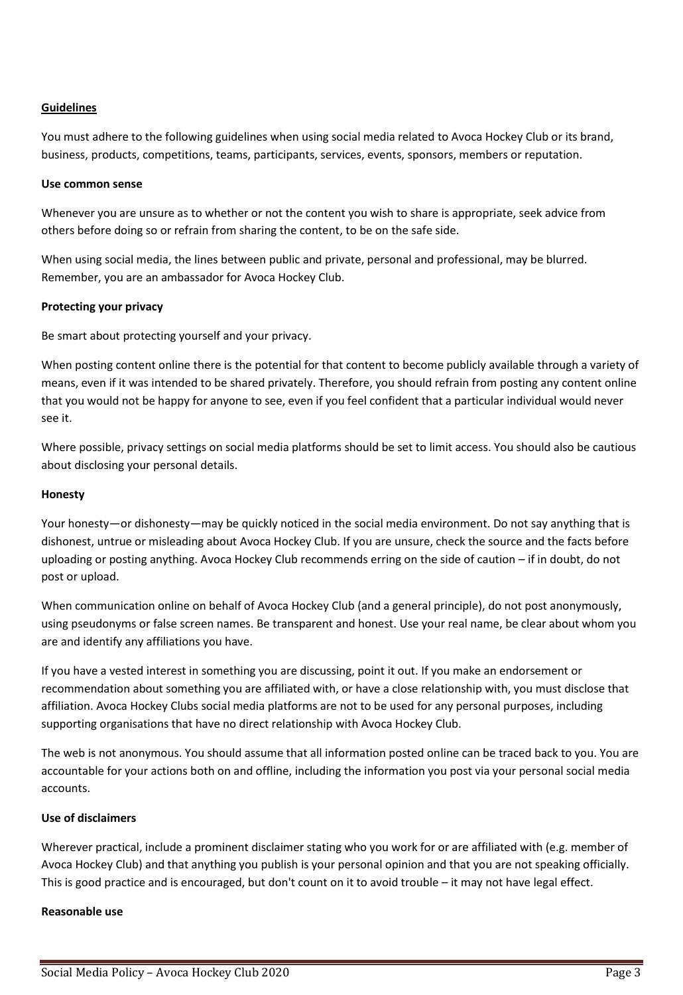### **Guidelines**

You must adhere to the following guidelines when using social media related to Avoca Hockey Club or its brand, business, products, competitions, teams, participants, services, events, sponsors, members or reputation.

#### **Use common sense**

Whenever you are unsure as to whether or not the content you wish to share is appropriate, seek advice from others before doing so or refrain from sharing the content, to be on the safe side.

When using social media, the lines between public and private, personal and professional, may be blurred. Remember, you are an ambassador for Avoca Hockey Club.

#### **Protecting your privacy**

Be smart about protecting yourself and your privacy.

When posting content online there is the potential for that content to become publicly available through a variety of means, even if it was intended to be shared privately. Therefore, you should refrain from posting any content online that you would not be happy for anyone to see, even if you feel confident that a particular individual would never see it.

Where possible, privacy settings on social media platforms should be set to limit access. You should also be cautious about disclosing your personal details.

#### **Honesty**

Your honesty—or dishonesty—may be quickly noticed in the social media environment. Do not say anything that is dishonest, untrue or misleading about Avoca Hockey Club. If you are unsure, check the source and the facts before uploading or posting anything. Avoca Hockey Club recommends erring on the side of caution – if in doubt, do not post or upload.

When communication online on behalf of Avoca Hockey Club (and a general principle), do not post anonymously, using pseudonyms or false screen names. Be transparent and honest. Use your real name, be clear about whom you are and identify any affiliations you have.

If you have a vested interest in something you are discussing, point it out. If you make an endorsement or recommendation about something you are affiliated with, or have a close relationship with, you must disclose that affiliation. Avoca Hockey Clubs social media platforms are not to be used for any personal purposes, including supporting organisations that have no direct relationship with Avoca Hockey Club.

The web is not anonymous. You should assume that all information posted online can be traced back to you. You are accountable for your actions both on and offline, including the information you post via your personal social media accounts.

#### **Use of disclaimers**

Wherever practical, include a prominent disclaimer stating who you work for or are affiliated with (e.g. member of Avoca Hockey Club) and that anything you publish is your personal opinion and that you are not speaking officially. This is good practice and is encouraged, but don't count on it to avoid trouble – it may not have legal effect.

#### **Reasonable use**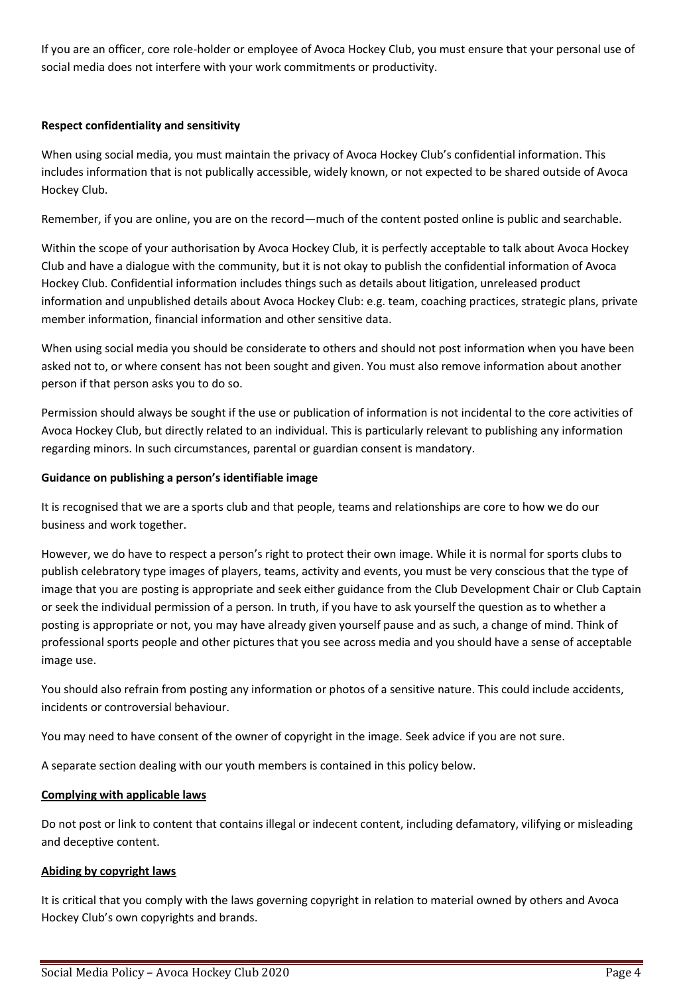If you are an officer, core role-holder or employee of Avoca Hockey Club, you must ensure that your personal use of social media does not interfere with your work commitments or productivity.

## **Respect confidentiality and sensitivity**

When using social media, you must maintain the privacy of Avoca Hockey Club's confidential information. This includes information that is not publically accessible, widely known, or not expected to be shared outside of Avoca Hockey Club.

Remember, if you are online, you are on the record—much of the content posted online is public and searchable.

Within the scope of your authorisation by Avoca Hockey Club, it is perfectly acceptable to talk about Avoca Hockey Club and have a dialogue with the community, but it is not okay to publish the confidential information of Avoca Hockey Club. Confidential information includes things such as details about litigation, unreleased product information and unpublished details about Avoca Hockey Club: e.g. team, coaching practices, strategic plans, private member information, financial information and other sensitive data.

When using social media you should be considerate to others and should not post information when you have been asked not to, or where consent has not been sought and given. You must also remove information about another person if that person asks you to do so.

Permission should always be sought if the use or publication of information is not incidental to the core activities of Avoca Hockey Club, but directly related to an individual. This is particularly relevant to publishing any information regarding minors. In such circumstances, parental or guardian consent is mandatory.

### **Guidance on publishing a person's identifiable image**

It is recognised that we are a sports club and that people, teams and relationships are core to how we do our business and work together.

However, we do have to respect a person's right to protect their own image. While it is normal for sports clubs to publish celebratory type images of players, teams, activity and events, you must be very conscious that the type of image that you are posting is appropriate and seek either guidance from the Club Development Chair or Club Captain or seek the individual permission of a person. In truth, if you have to ask yourself the question as to whether a posting is appropriate or not, you may have already given yourself pause and as such, a change of mind. Think of professional sports people and other pictures that you see across media and you should have a sense of acceptable image use.

You should also refrain from posting any information or photos of a sensitive nature. This could include accidents, incidents or controversial behaviour.

You may need to have consent of the owner of copyright in the image. Seek advice if you are not sure.

A separate section dealing with our youth members is contained in this policy below.

#### **Complying with applicable laws**

Do not post or link to content that contains illegal or indecent content, including defamatory, vilifying or misleading and deceptive content.

# **Abiding by copyright laws**

It is critical that you comply with the laws governing copyright in relation to material owned by others and Avoca Hockey Club's own copyrights and brands.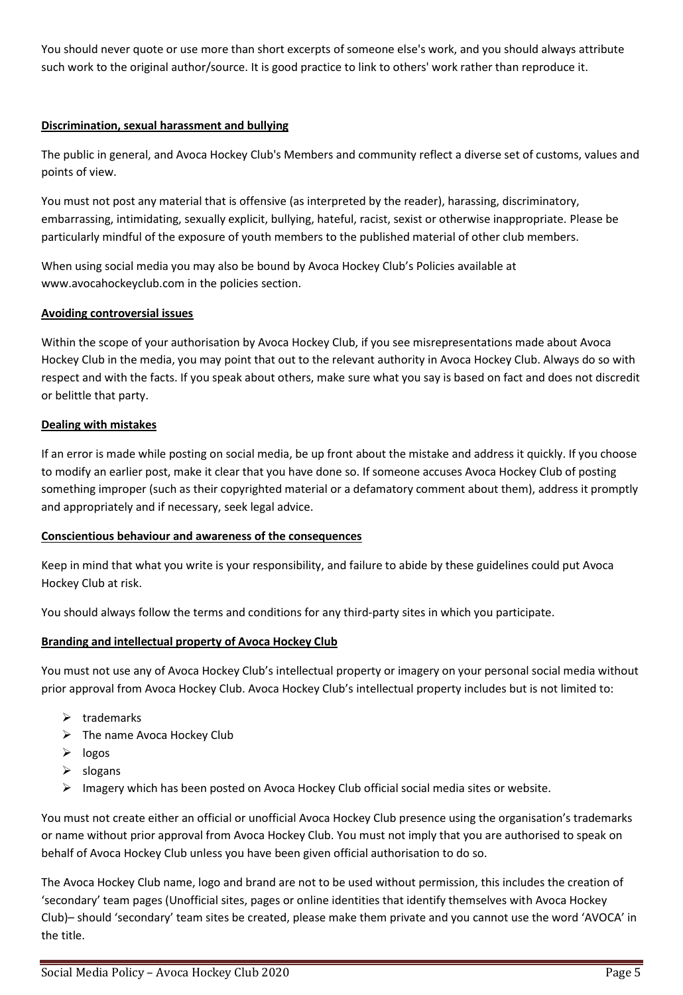You should never quote or use more than short excerpts of someone else's work, and you should always attribute such work to the original author/source. It is good practice to link to others' work rather than reproduce it.

# **Discrimination, sexual harassment and bullying**

The public in general, and Avoca Hockey Club's Members and community reflect a diverse set of customs, values and points of view.

You must not post any material that is offensive (as interpreted by the reader), harassing, discriminatory, embarrassing, intimidating, sexually explicit, bullying, hateful, racist, sexist or otherwise inappropriate. Please be particularly mindful of the exposure of youth members to the published material of other club members.

When using social media you may also be bound by Avoca Hockey Club's Policies available at www.avocahockeyclub.com in the policies section.

# **Avoiding controversial issues**

Within the scope of your authorisation by Avoca Hockey Club, if you see misrepresentations made about Avoca Hockey Club in the media, you may point that out to the relevant authority in Avoca Hockey Club. Always do so with respect and with the facts. If you speak about others, make sure what you say is based on fact and does not discredit or belittle that party.

### **Dealing with mistakes**

If an error is made while posting on social media, be up front about the mistake and address it quickly. If you choose to modify an earlier post, make it clear that you have done so. If someone accuses Avoca Hockey Club of posting something improper (such as their copyrighted material or a defamatory comment about them), address it promptly and appropriately and if necessary, seek legal advice.

# **Conscientious behaviour and awareness of the consequences**

Keep in mind that what you write is your responsibility, and failure to abide by these guidelines could put Avoca Hockey Club at risk.

You should always follow the terms and conditions for any third-party sites in which you participate.

# **Branding and intellectual property of Avoca Hockey Club**

You must not use any of Avoca Hockey Club's intellectual property or imagery on your personal social media without prior approval from Avoca Hockey Club. Avoca Hockey Club's intellectual property includes but is not limited to:

- $\triangleright$  trademarks
- $\triangleright$  The name Avoca Hockey Club
- ➢ logos
- $\triangleright$  slogans
- $\triangleright$  Imagery which has been posted on Avoca Hockey Club official social media sites or website.

You must not create either an official or unofficial Avoca Hockey Club presence using the organisation's trademarks or name without prior approval from Avoca Hockey Club. You must not imply that you are authorised to speak on behalf of Avoca Hockey Club unless you have been given official authorisation to do so.

The Avoca Hockey Club name, logo and brand are not to be used without permission, this includes the creation of 'secondary' team pages (Unofficial sites, pages or online identities that identify themselves with Avoca Hockey Club)– should 'secondary' team sites be created, please make them private and you cannot use the word 'AVOCA' in the title.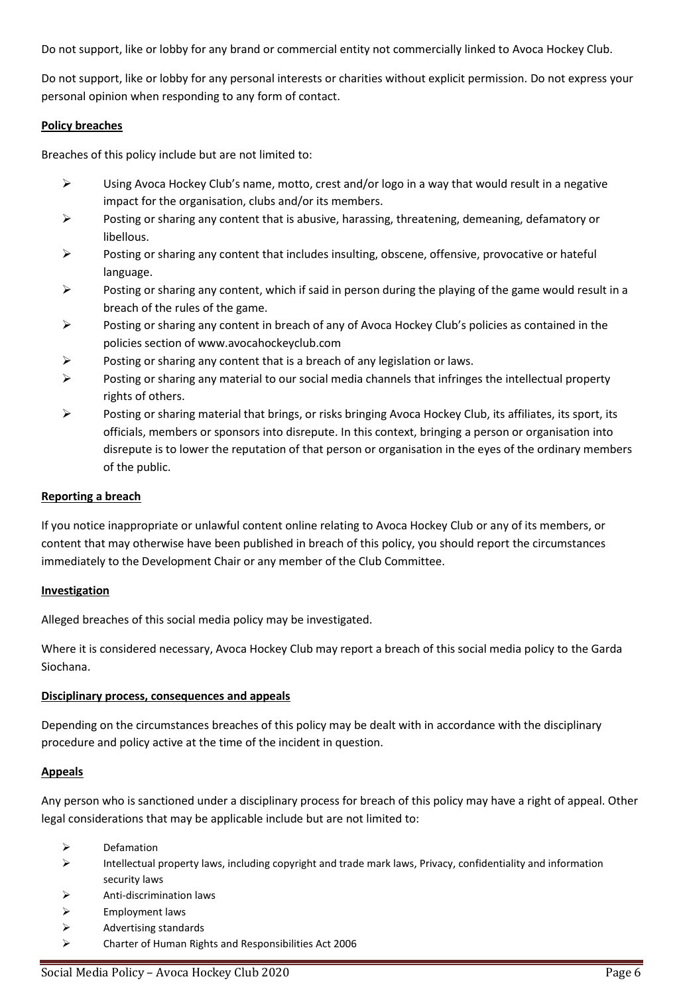Do not support, like or lobby for any brand or commercial entity not commercially linked to Avoca Hockey Club.

Do not support, like or lobby for any personal interests or charities without explicit permission. Do not express your personal opinion when responding to any form of contact.

### **Policy breaches**

Breaches of this policy include but are not limited to:

- $\triangleright$  Using Avoca Hockey Club's name, motto, crest and/or logo in a way that would result in a negative impact for the organisation, clubs and/or its members.
- $\triangleright$  Posting or sharing any content that is abusive, harassing, threatening, demeaning, defamatory or libellous.
- ➢ Posting or sharing any content that includes insulting, obscene, offensive, provocative or hateful language.
- ➢ Posting or sharing any content, which if said in person during the playing of the game would result in a breach of the rules of the game.
- ➢ Posting or sharing any content in breach of any of Avoca Hockey Club's policies as contained in the policies section of www.avocahockeyclub.com
- $\triangleright$  Posting or sharing any content that is a breach of any legislation or laws.
- $\triangleright$  Posting or sharing any material to our social media channels that infringes the intellectual property rights of others.
- ➢ Posting or sharing material that brings, or risks bringing Avoca Hockey Club, its affiliates, its sport, its officials, members or sponsors into disrepute. In this context, bringing a person or organisation into disrepute is to lower the reputation of that person or organisation in the eyes of the ordinary members of the public.

### **Reporting a breach**

If you notice inappropriate or unlawful content online relating to Avoca Hockey Club or any of its members, or content that may otherwise have been published in breach of this policy, you should report the circumstances immediately to the Development Chair or any member of the Club Committee.

#### **Investigation**

Alleged breaches of this social media policy may be investigated.

Where it is considered necessary, Avoca Hockey Club may report a breach of this social media policy to the Garda Siochana.

#### **Disciplinary process, consequences and appeals**

Depending on the circumstances breaches of this policy may be dealt with in accordance with the disciplinary procedure and policy active at the time of the incident in question.

#### **Appeals**

Any person who is sanctioned under a disciplinary process for breach of this policy may have a right of appeal. Other legal considerations that may be applicable include but are not limited to:

- ➢ Defamation
- ➢ Intellectual property laws, including copyright and trade mark laws, Privacy, confidentiality and information security laws
- ➢ Anti-discrimination laws
- ➢ Employment laws
- ➢ Advertising standards
- ➢ Charter of Human Rights and Responsibilities Act 2006